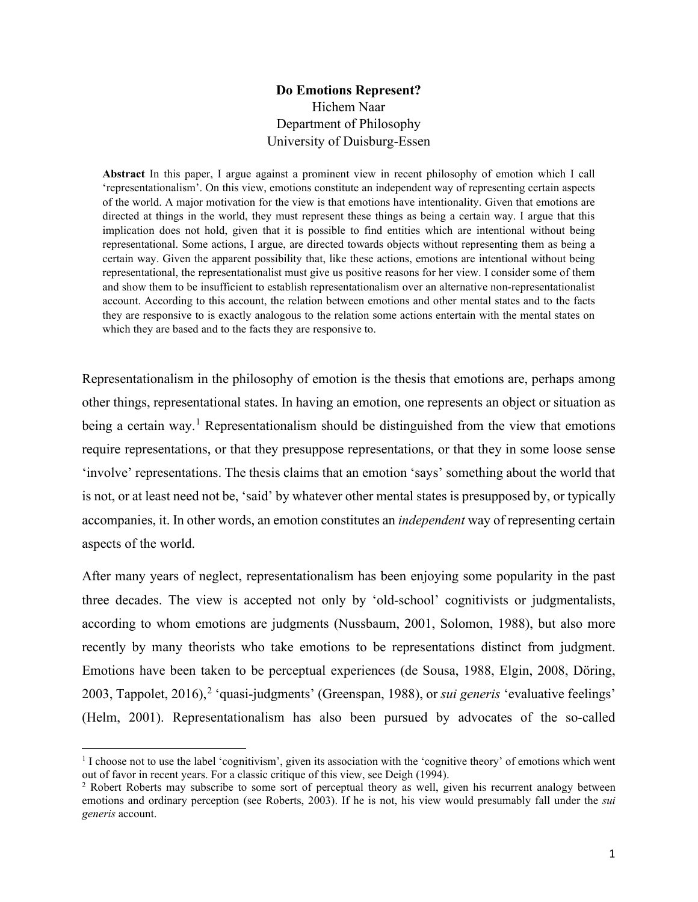# **Do Emotions Represent?** Hichem Naar Department of Philosophy University of Duisburg-Essen

**Abstract** In this paper, I argue against a prominent view in recent philosophy of emotion which I call 'representationalism'. On this view, emotions constitute an independent way of representing certain aspects of the world. A major motivation for the view is that emotions have intentionality. Given that emotions are directed at things in the world, they must represent these things as being a certain way. I argue that this implication does not hold, given that it is possible to find entities which are intentional without being representational. Some actions, I argue, are directed towards objects without representing them as being a certain way. Given the apparent possibility that, like these actions, emotions are intentional without being representational, the representationalist must give us positive reasons for her view. I consider some of them and show them to be insufficient to establish representationalism over an alternative non-representationalist account. According to this account, the relation between emotions and other mental states and to the facts they are responsive to is exactly analogous to the relation some actions entertain with the mental states on which they are based and to the facts they are responsive to.

Representationalism in the philosophy of emotion is the thesis that emotions are, perhaps among other things, representational states. In having an emotion, one represents an object or situation as being a certain way.<sup>[1](#page-0-0)</sup> Representationalism should be distinguished from the view that emotions require representations, or that they presuppose representations, or that they in some loose sense 'involve' representations. The thesis claims that an emotion 'says' something about the world that is not, or at least need not be, 'said' by whatever other mental states is presupposed by, or typically accompanies, it. In other words, an emotion constitutes an *independent* way of representing certain aspects of the world.

After many years of neglect, representationalism has been enjoying some popularity in the past three decades. The view is accepted not only by 'old-school' cognitivists or judgmentalists, according to whom emotions are judgments (Nussbaum, 2001, Solomon, 1988), but also more recently by many theorists who take emotions to be representations distinct from judgment. Emotions have been taken to be perceptual experiences (de Sousa, 1988, Elgin, 2008, Döring, [2](#page-0-1)003, Tappolet, 2016),<sup>2</sup> 'quasi-judgments' (Greenspan, 1988), or *sui generis* 'evaluative feelings' (Helm, 2001). Representationalism has also been pursued by advocates of the so-called

<span id="page-0-0"></span><sup>&</sup>lt;sup>1</sup> I choose not to use the label 'cognitivism', given its association with the 'cognitive theory' of emotions which went out of favor in recent years. For a classic critique of this view, see Deigh (1994).<br><sup>2</sup> Robert Roberts may subscribe to some sort of perceptual theory as well, given his recurrent analogy between

<span id="page-0-1"></span>emotions and ordinary perception (see Roberts, 2003). If he is not, his view would presumably fall under the *sui generis* account.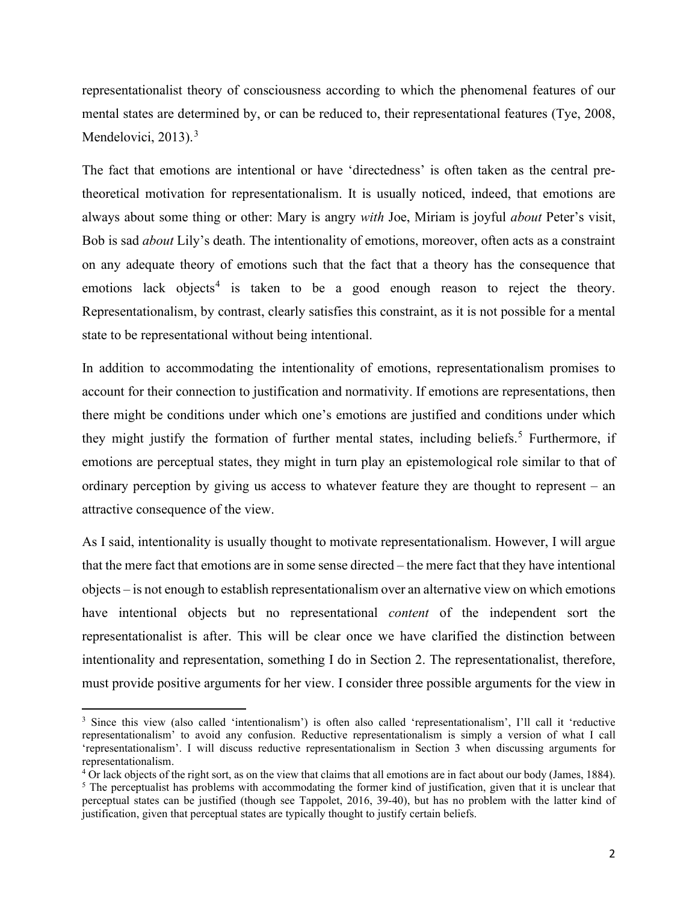representationalist theory of consciousness according to which the phenomenal features of our mental states are determined by, or can be reduced to, their representational features (Tye, 2008, Mendelovici, 201[3](#page-1-0)).<sup>3</sup>

The fact that emotions are intentional or have 'directedness' is often taken as the central pretheoretical motivation for representationalism. It is usually noticed, indeed, that emotions are always about some thing or other: Mary is angry *with* Joe, Miriam is joyful *about* Peter's visit, Bob is sad *about* Lily's death. The intentionality of emotions, moreover, often acts as a constraint on any adequate theory of emotions such that the fact that a theory has the consequence that emotions lack objects<sup>[4](#page-1-1)</sup> is taken to be a good enough reason to reject the theory. Representationalism, by contrast, clearly satisfies this constraint, as it is not possible for a mental state to be representational without being intentional.

In addition to accommodating the intentionality of emotions, representationalism promises to account for their connection to justification and normativity. If emotions are representations, then there might be conditions under which one's emotions are justified and conditions under which they might justify the formation of further mental states, including beliefs.<sup>[5](#page-1-2)</sup> Furthermore, if emotions are perceptual states, they might in turn play an epistemological role similar to that of ordinary perception by giving us access to whatever feature they are thought to represent – an attractive consequence of the view.

As I said, intentionality is usually thought to motivate representationalism. However, I will argue that the mere fact that emotions are in some sense directed – the mere fact that they have intentional objects – is not enough to establish representationalism over an alternative view on which emotions have intentional objects but no representational *content* of the independent sort the representationalist is after. This will be clear once we have clarified the distinction between intentionality and representation, something I do in Section 2. The representationalist, therefore, must provide positive arguments for her view. I consider three possible arguments for the view in

<span id="page-1-0"></span><sup>3</sup> Since this view (also called 'intentionalism') is often also called 'representationalism', I'll call it 'reductive representationalism' to avoid any confusion. Reductive representationalism is simply a version of what I call 'representationalism'. I will discuss reductive representationalism in Section 3 when discussing arguments for representationalism.

<span id="page-1-2"></span><span id="page-1-1"></span> $\frac{4}{1}$  Or lack objects of the right sort, as on the view that claims that all emotions are in fact about our body (James, 1884).<br>
<sup>5</sup> The perceptualist has problems with accommodating the former kind of justification, perceptual states can be justified (though see Tappolet, 2016, 39-40), but has no problem with the latter kind of justification, given that perceptual states are typically thought to justify certain beliefs.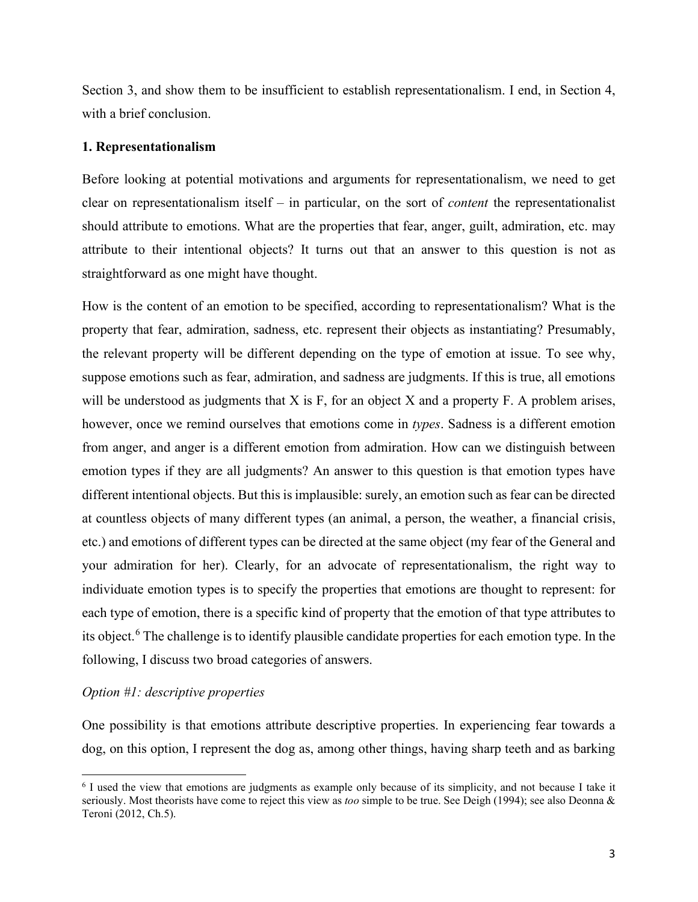Section 3, and show them to be insufficient to establish representationalism. I end, in Section 4, with a brief conclusion.

#### **1. Representationalism**

Before looking at potential motivations and arguments for representationalism, we need to get clear on representationalism itself – in particular, on the sort of *content* the representationalist should attribute to emotions. What are the properties that fear, anger, guilt, admiration, etc. may attribute to their intentional objects? It turns out that an answer to this question is not as straightforward as one might have thought.

How is the content of an emotion to be specified, according to representationalism? What is the property that fear, admiration, sadness, etc. represent their objects as instantiating? Presumably, the relevant property will be different depending on the type of emotion at issue. To see why, suppose emotions such as fear, admiration, and sadness are judgments. If this is true, all emotions will be understood as judgments that  $X$  is  $F$ , for an object  $X$  and a property  $F$ . A problem arises, however, once we remind ourselves that emotions come in *types*. Sadness is a different emotion from anger, and anger is a different emotion from admiration. How can we distinguish between emotion types if they are all judgments? An answer to this question is that emotion types have different intentional objects. But this is implausible: surely, an emotion such as fear can be directed at countless objects of many different types (an animal, a person, the weather, a financial crisis, etc.) and emotions of different types can be directed at the same object (my fear of the General and your admiration for her). Clearly, for an advocate of representationalism, the right way to individuate emotion types is to specify the properties that emotions are thought to represent: for each type of emotion, there is a specific kind of property that the emotion of that type attributes to its object.<sup>[6](#page-2-0)</sup> The challenge is to identify plausible candidate properties for each emotion type. In the following, I discuss two broad categories of answers.

## *Option #1: descriptive properties*

One possibility is that emotions attribute descriptive properties. In experiencing fear towards a dog, on this option, I represent the dog as, among other things, having sharp teeth and as barking

<span id="page-2-0"></span><sup>6</sup> I used the view that emotions are judgments as example only because of its simplicity, and not because I take it seriously. Most theorists have come to reject this view as *too* simple to be true. See Deigh (1994); see also Deonna & Teroni (2012, Ch.5).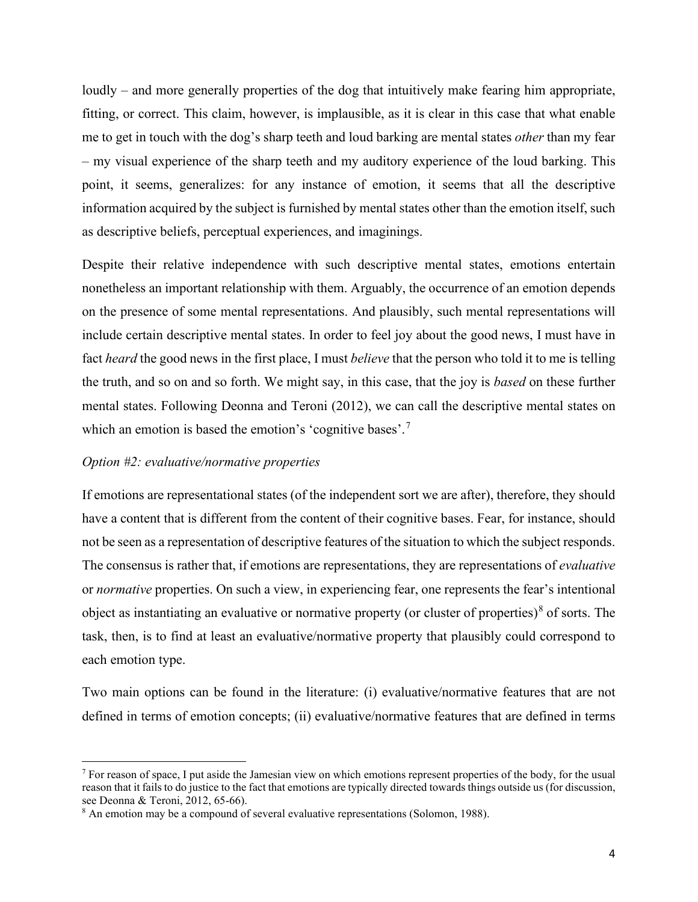loudly – and more generally properties of the dog that intuitively make fearing him appropriate, fitting, or correct. This claim, however, is implausible, as it is clear in this case that what enable me to get in touch with the dog's sharp teeth and loud barking are mental states *other* than my fear – my visual experience of the sharp teeth and my auditory experience of the loud barking. This point, it seems, generalizes: for any instance of emotion, it seems that all the descriptive information acquired by the subject is furnished by mental states other than the emotion itself, such as descriptive beliefs, perceptual experiences, and imaginings.

Despite their relative independence with such descriptive mental states, emotions entertain nonetheless an important relationship with them. Arguably, the occurrence of an emotion depends on the presence of some mental representations. And plausibly, such mental representations will include certain descriptive mental states. In order to feel joy about the good news, I must have in fact *heard* the good news in the first place, I must *believe* that the person who told it to me is telling the truth, and so on and so forth. We might say, in this case, that the joy is *based* on these further mental states. Following Deonna and Teroni (2012), we can call the descriptive mental states on which an emotion is based the emotion's 'cognitive bases'.<sup>[7](#page-3-0)</sup>

#### *Option #2: evaluative/normative properties*

If emotions are representational states (of the independent sort we are after), therefore, they should have a content that is different from the content of their cognitive bases. Fear, for instance, should not be seen as a representation of descriptive features of the situation to which the subject responds. The consensus is rather that, if emotions are representations, they are representations of *evaluative* or *normative* properties. On such a view, in experiencing fear, one represents the fear's intentional object as instantiating an evaluative or normative property (or cluster of properties)<sup>[8](#page-3-1)</sup> of sorts. The task, then, is to find at least an evaluative/normative property that plausibly could correspond to each emotion type.

Two main options can be found in the literature: (i) evaluative/normative features that are not defined in terms of emotion concepts; (ii) evaluative/normative features that are defined in terms

<span id="page-3-0"></span> $<sup>7</sup>$  For reason of space, I put aside the Jamesian view on which emotions represent properties of the body, for the usual</sup> reason that it fails to do justice to the fact that emotions are typically directed towards things outside us (for discussion, see Deonna & Teroni, 2012, 65-66). <sup>8</sup> An emotion may be a compound of several evaluative representations (Solomon, 1988).

<span id="page-3-1"></span>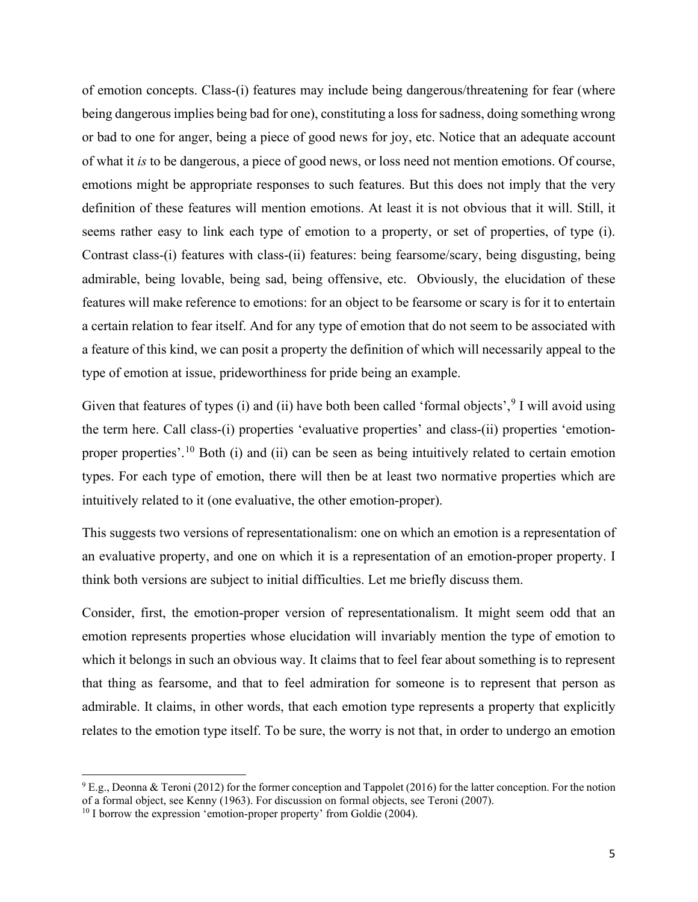of emotion concepts. Class-(i) features may include being dangerous/threatening for fear (where being dangerous implies being bad for one), constituting a loss for sadness, doing something wrong or bad to one for anger, being a piece of good news for joy, etc. Notice that an adequate account of what it *is* to be dangerous, a piece of good news, or loss need not mention emotions. Of course, emotions might be appropriate responses to such features. But this does not imply that the very definition of these features will mention emotions. At least it is not obvious that it will. Still, it seems rather easy to link each type of emotion to a property, or set of properties, of type (i). Contrast class-(i) features with class-(ii) features: being fearsome/scary, being disgusting, being admirable, being lovable, being sad, being offensive, etc. Obviously, the elucidation of these features will make reference to emotions: for an object to be fearsome or scary is for it to entertain a certain relation to fear itself. And for any type of emotion that do not seem to be associated with a feature of this kind, we can posit a property the definition of which will necessarily appeal to the type of emotion at issue, prideworthiness for pride being an example.

Given that features of types (i) and (ii) have both been called 'formal objects',  $9$  I will avoid using the term here. Call class-(i) properties 'evaluative properties' and class-(ii) properties 'emotion-proper properties'.<sup>[10](#page-4-1)</sup> Both (i) and (ii) can be seen as being intuitively related to certain emotion types. For each type of emotion, there will then be at least two normative properties which are intuitively related to it (one evaluative, the other emotion-proper).

This suggests two versions of representationalism: one on which an emotion is a representation of an evaluative property, and one on which it is a representation of an emotion-proper property. I think both versions are subject to initial difficulties. Let me briefly discuss them.

Consider, first, the emotion-proper version of representationalism. It might seem odd that an emotion represents properties whose elucidation will invariably mention the type of emotion to which it belongs in such an obvious way. It claims that to feel fear about something is to represent that thing as fearsome, and that to feel admiration for someone is to represent that person as admirable. It claims, in other words, that each emotion type represents a property that explicitly relates to the emotion type itself. To be sure, the worry is not that, in order to undergo an emotion

<span id="page-4-0"></span><sup>9</sup> E.g., Deonna & Teroni (2012) for the former conception and Tappolet (2016) for the latter conception. For the notion of a formal object, see Kenny (1963). For discussion on formal objects, see Teroni (2007).<br><sup>10</sup> I borrow the expression 'emotion-proper property' from Goldie (2004).

<span id="page-4-1"></span>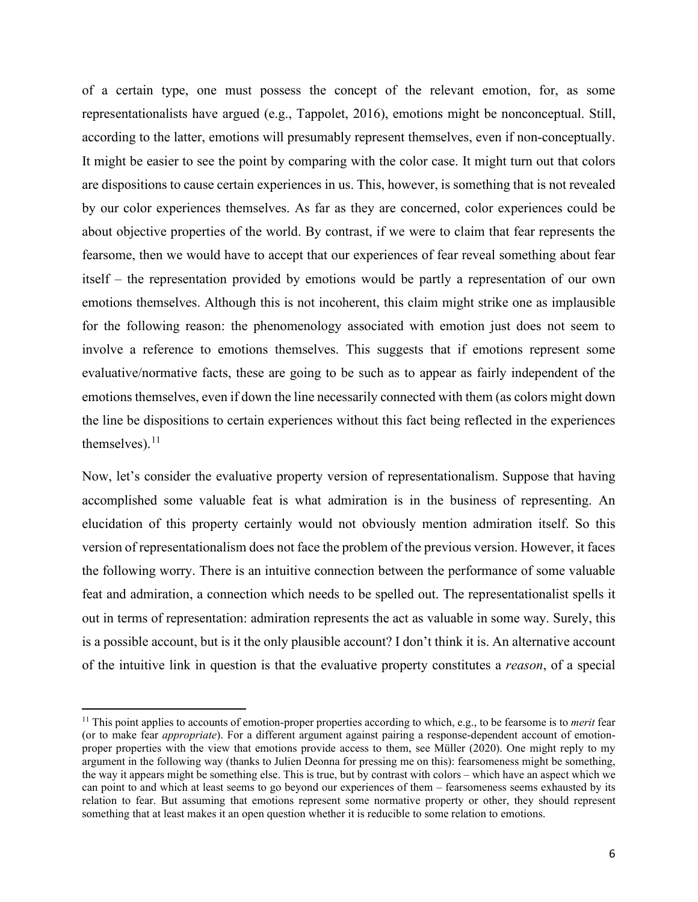of a certain type, one must possess the concept of the relevant emotion, for, as some representationalists have argued (e.g., Tappolet, 2016), emotions might be nonconceptual. Still, according to the latter, emotions will presumably represent themselves, even if non-conceptually. It might be easier to see the point by comparing with the color case. It might turn out that colors are dispositions to cause certain experiences in us. This, however, is something that is not revealed by our color experiences themselves. As far as they are concerned, color experiences could be about objective properties of the world. By contrast, if we were to claim that fear represents the fearsome, then we would have to accept that our experiences of fear reveal something about fear itself – the representation provided by emotions would be partly a representation of our own emotions themselves. Although this is not incoherent, this claim might strike one as implausible for the following reason: the phenomenology associated with emotion just does not seem to involve a reference to emotions themselves. This suggests that if emotions represent some evaluative/normative facts, these are going to be such as to appear as fairly independent of the emotions themselves, even if down the line necessarily connected with them (as colors might down the line be dispositions to certain experiences without this fact being reflected in the experiences themselves). $^{11}$  $^{11}$  $^{11}$ 

Now, let's consider the evaluative property version of representationalism. Suppose that having accomplished some valuable feat is what admiration is in the business of representing. An elucidation of this property certainly would not obviously mention admiration itself. So this version of representationalism does not face the problem of the previous version. However, it faces the following worry. There is an intuitive connection between the performance of some valuable feat and admiration, a connection which needs to be spelled out. The representationalist spells it out in terms of representation: admiration represents the act as valuable in some way. Surely, this is a possible account, but is it the only plausible account? I don't think it is. An alternative account of the intuitive link in question is that the evaluative property constitutes a *reason*, of a special

<span id="page-5-0"></span><sup>&</sup>lt;sup>11</sup> This point applies to accounts of emotion-proper properties according to which, e.g., to be fearsome is to *merit* fear (or to make fear *appropriate*). For a different argument against pairing a response-dependent account of emotionproper properties with the view that emotions provide access to them, see Müller (2020). One might reply to my argument in the following way (thanks to Julien Deonna for pressing me on this): fearsomeness might be something, the way it appears might be something else. This is true, but by contrast with colors – which have an aspect which we can point to and which at least seems to go beyond our experiences of them – fearsomeness seems exhausted by its relation to fear. But assuming that emotions represent some normative property or other, they should represent something that at least makes it an open question whether it is reducible to some relation to emotions.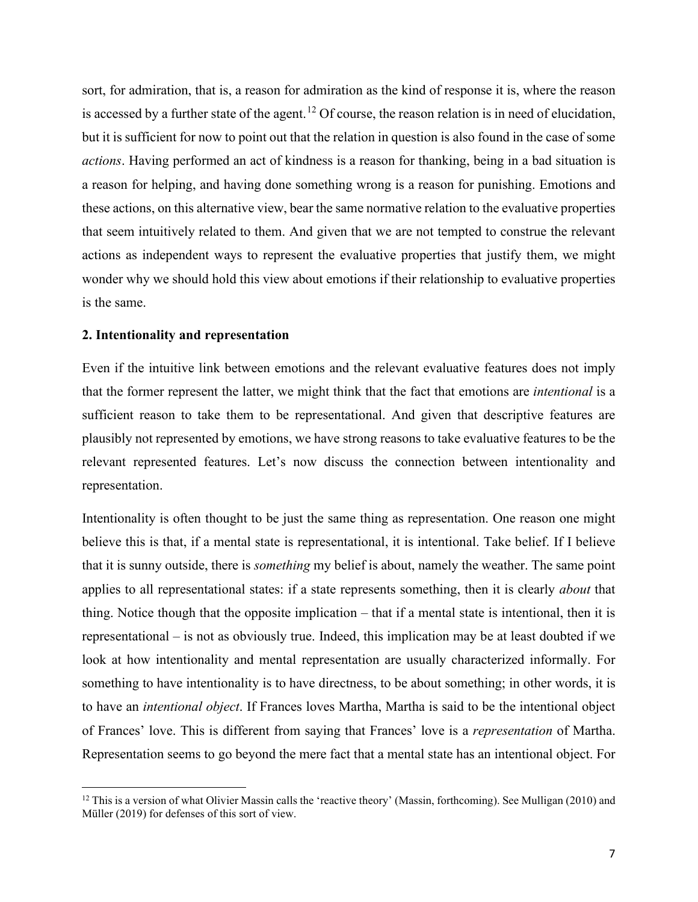sort, for admiration, that is, a reason for admiration as the kind of response it is, where the reason is accessed by a further state of the agent.<sup>[12](#page-6-0)</sup> Of course, the reason relation is in need of elucidation, but it is sufficient for now to point out that the relation in question is also found in the case of some *actions*. Having performed an act of kindness is a reason for thanking, being in a bad situation is a reason for helping, and having done something wrong is a reason for punishing. Emotions and these actions, on this alternative view, bear the same normative relation to the evaluative properties that seem intuitively related to them. And given that we are not tempted to construe the relevant actions as independent ways to represent the evaluative properties that justify them, we might wonder why we should hold this view about emotions if their relationship to evaluative properties is the same.

# **2. Intentionality and representation**

Even if the intuitive link between emotions and the relevant evaluative features does not imply that the former represent the latter, we might think that the fact that emotions are *intentional* is a sufficient reason to take them to be representational. And given that descriptive features are plausibly not represented by emotions, we have strong reasons to take evaluative features to be the relevant represented features. Let's now discuss the connection between intentionality and representation.

Intentionality is often thought to be just the same thing as representation. One reason one might believe this is that, if a mental state is representational, it is intentional. Take belief. If I believe that it is sunny outside, there is *something* my belief is about, namely the weather. The same point applies to all representational states: if a state represents something, then it is clearly *about* that thing. Notice though that the opposite implication – that if a mental state is intentional, then it is representational – is not as obviously true. Indeed, this implication may be at least doubted if we look at how intentionality and mental representation are usually characterized informally. For something to have intentionality is to have directness, to be about something; in other words, it is to have an *intentional object*. If Frances loves Martha, Martha is said to be the intentional object of Frances' love. This is different from saying that Frances' love is a *representation* of Martha. Representation seems to go beyond the mere fact that a mental state has an intentional object. For

<span id="page-6-0"></span><sup>&</sup>lt;sup>12</sup> This is a version of what Olivier Massin calls the 'reactive theory' (Massin, forthcoming). See Mulligan (2010) and Müller (2019) for defenses of this sort of view.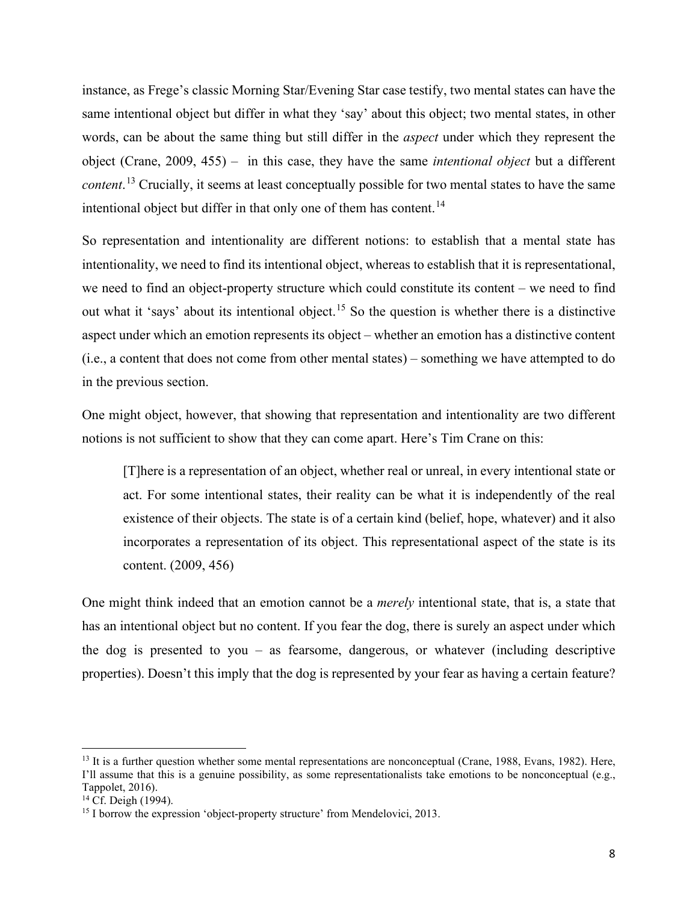instance, as Frege's classic Morning Star/Evening Star case testify, two mental states can have the same intentional object but differ in what they 'say' about this object; two mental states, in other words, can be about the same thing but still differ in the *aspect* under which they represent the object (Crane, 2009, 455) – in this case, they have the same *intentional object* but a different *content*. [13](#page-7-0) Crucially, it seems at least conceptually possible for two mental states to have the same intentional object but differ in that only one of them has content.<sup>[14](#page-7-1)</sup>

So representation and intentionality are different notions: to establish that a mental state has intentionality, we need to find its intentional object, whereas to establish that it is representational, we need to find an object-property structure which could constitute its content – we need to find out what it 'says' about its intentional object.<sup>[15](#page-7-2)</sup> So the question is whether there is a distinctive aspect under which an emotion represents its object – whether an emotion has a distinctive content (i.e., a content that does not come from other mental states) – something we have attempted to do in the previous section.

One might object, however, that showing that representation and intentionality are two different notions is not sufficient to show that they can come apart. Here's Tim Crane on this:

[T]here is a representation of an object, whether real or unreal, in every intentional state or act. For some intentional states, their reality can be what it is independently of the real existence of their objects. The state is of a certain kind (belief, hope, whatever) and it also incorporates a representation of its object. This representational aspect of the state is its content. (2009, 456)

One might think indeed that an emotion cannot be a *merely* intentional state, that is, a state that has an intentional object but no content. If you fear the dog, there is surely an aspect under which the dog is presented to you – as fearsome, dangerous, or whatever (including descriptive properties). Doesn't this imply that the dog is represented by your fear as having a certain feature?

<span id="page-7-0"></span> $13$  It is a further question whether some mental representations are nonconceptual (Crane, 1988, Evans, 1982). Here, I'll assume that this is a genuine possibility, as some representationalists take emotions to be nonconceptual (e.g., Tappolet, 2016).<br><sup>14</sup> Cf. Deigh (1994).

<span id="page-7-1"></span>

<span id="page-7-2"></span><sup>&</sup>lt;sup>15</sup> I borrow the expression 'object-property structure' from Mendelovici, 2013.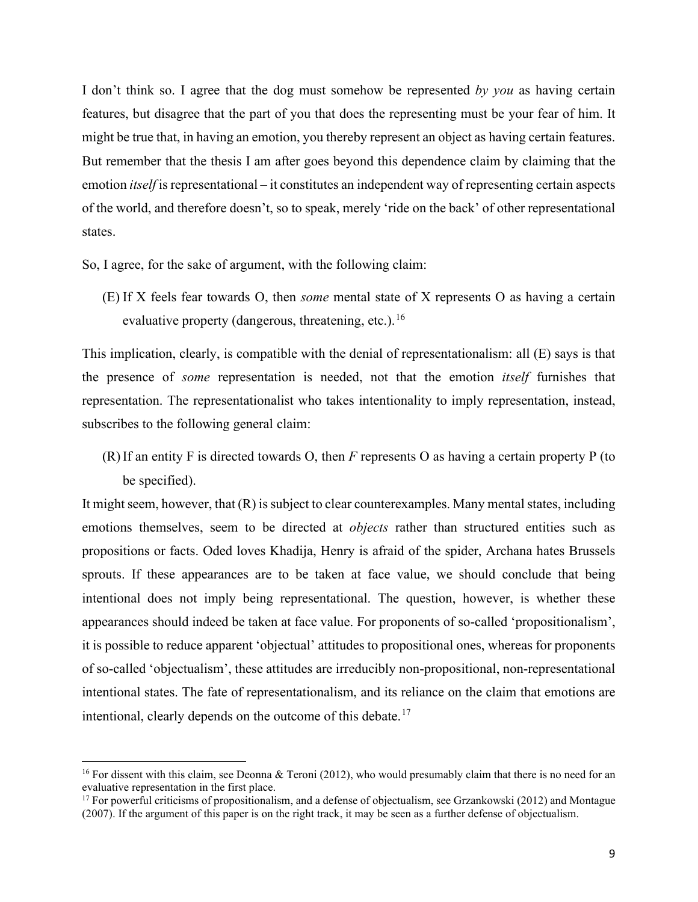I don't think so. I agree that the dog must somehow be represented *by you* as having certain features, but disagree that the part of you that does the representing must be your fear of him. It might be true that, in having an emotion, you thereby represent an object as having certain features. But remember that the thesis I am after goes beyond this dependence claim by claiming that the emotion *itself* is representational – it constitutes an independent way of representing certain aspects of the world, and therefore doesn't, so to speak, merely 'ride on the back' of other representational states.

So, I agree, for the sake of argument, with the following claim:

(E) If X feels fear towards O, then *some* mental state of X represents O as having a certain evaluative property (dangerous, threatening, etc.).<sup>[16](#page-8-0)</sup>

This implication, clearly, is compatible with the denial of representationalism: all (E) says is that the presence of *some* representation is needed, not that the emotion *itself* furnishes that representation. The representationalist who takes intentionality to imply representation, instead, subscribes to the following general claim:

(R)If an entity F is directed towards O, then *F* represents O as having a certain property P (to be specified).

It might seem, however, that (R) is subject to clear counterexamples. Many mental states, including emotions themselves, seem to be directed at *objects* rather than structured entities such as propositions or facts. Oded loves Khadija, Henry is afraid of the spider, Archana hates Brussels sprouts. If these appearances are to be taken at face value, we should conclude that being intentional does not imply being representational. The question, however, is whether these appearances should indeed be taken at face value. For proponents of so-called 'propositionalism', it is possible to reduce apparent 'objectual' attitudes to propositional ones, whereas for proponents of so-called 'objectualism', these attitudes are irreducibly non-propositional, non-representational intentional states. The fate of representationalism, and its reliance on the claim that emotions are intentional, clearly depends on the outcome of this debate.<sup>[17](#page-8-1)</sup>

<span id="page-8-0"></span><sup>&</sup>lt;sup>16</sup> For dissent with this claim, see Deonna & Teroni (2012), who would presumably claim that there is no need for an evaluative representation in the first place.

<span id="page-8-1"></span> $17$  For powerful criticisms of propositionalism, and a defense of objectualism, see Grzankowski (2012) and Montague (2007). If the argument of this paper is on the right track, it may be seen as a further defense of objectualism.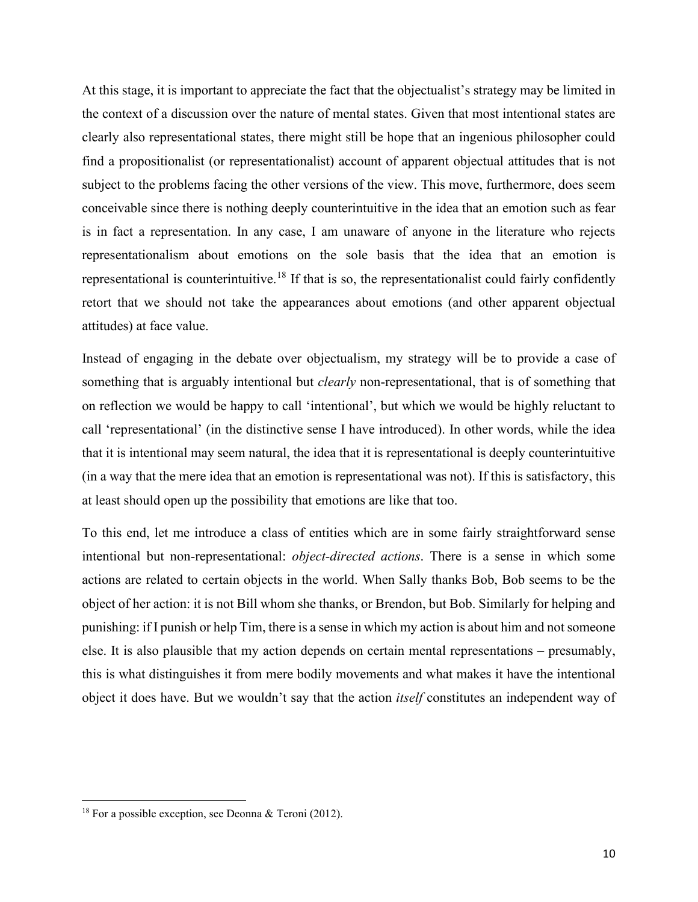At this stage, it is important to appreciate the fact that the objectualist's strategy may be limited in the context of a discussion over the nature of mental states. Given that most intentional states are clearly also representational states, there might still be hope that an ingenious philosopher could find a propositionalist (or representationalist) account of apparent objectual attitudes that is not subject to the problems facing the other versions of the view. This move, furthermore, does seem conceivable since there is nothing deeply counterintuitive in the idea that an emotion such as fear is in fact a representation. In any case, I am unaware of anyone in the literature who rejects representationalism about emotions on the sole basis that the idea that an emotion is representational is counterintuitive.[18](#page-9-0) If that is so, the representationalist could fairly confidently retort that we should not take the appearances about emotions (and other apparent objectual attitudes) at face value.

Instead of engaging in the debate over objectualism, my strategy will be to provide a case of something that is arguably intentional but *clearly* non-representational, that is of something that on reflection we would be happy to call 'intentional', but which we would be highly reluctant to call 'representational' (in the distinctive sense I have introduced). In other words, while the idea that it is intentional may seem natural, the idea that it is representational is deeply counterintuitive (in a way that the mere idea that an emotion is representational was not). If this is satisfactory, this at least should open up the possibility that emotions are like that too.

To this end, let me introduce a class of entities which are in some fairly straightforward sense intentional but non-representational: *object-directed actions*. There is a sense in which some actions are related to certain objects in the world. When Sally thanks Bob, Bob seems to be the object of her action: it is not Bill whom she thanks, or Brendon, but Bob. Similarly for helping and punishing: if I punish or help Tim, there is a sense in which my action is about him and not someone else. It is also plausible that my action depends on certain mental representations – presumably, this is what distinguishes it from mere bodily movements and what makes it have the intentional object it does have. But we wouldn't say that the action *itself* constitutes an independent way of

<span id="page-9-0"></span><sup>&</sup>lt;sup>18</sup> For a possible exception, see Deonna & Teroni (2012).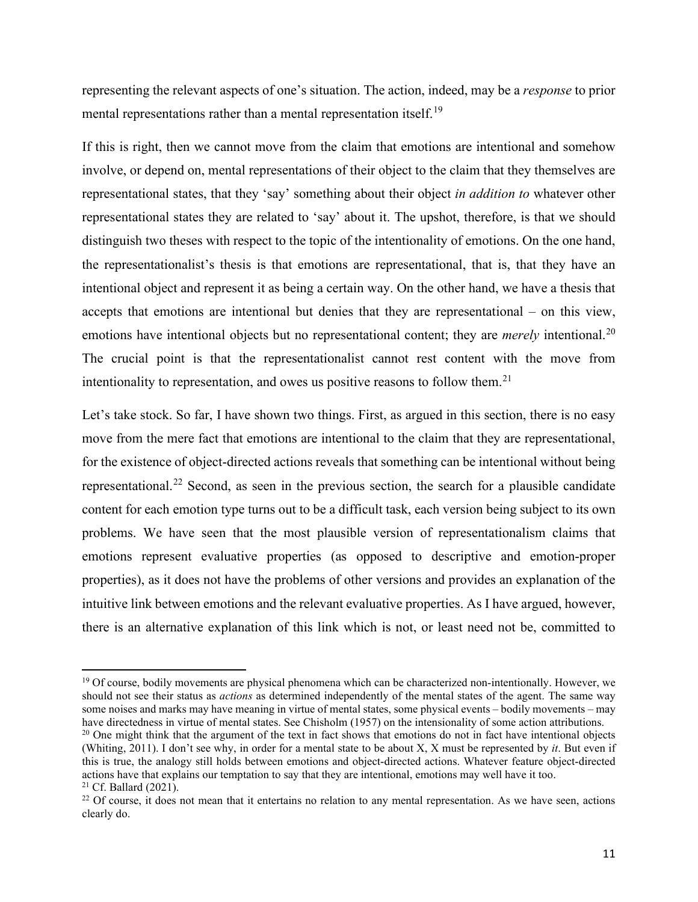representing the relevant aspects of one's situation. The action, indeed, may be a *response* to prior mental representations rather than a mental representation itself.<sup>[19](#page-10-0)</sup>

If this is right, then we cannot move from the claim that emotions are intentional and somehow involve, or depend on, mental representations of their object to the claim that they themselves are representational states, that they 'say' something about their object *in addition to* whatever other representational states they are related to 'say' about it. The upshot, therefore, is that we should distinguish two theses with respect to the topic of the intentionality of emotions. On the one hand, the representationalist's thesis is that emotions are representational, that is, that they have an intentional object and represent it as being a certain way. On the other hand, we have a thesis that accepts that emotions are intentional but denies that they are representational – on this view, emotions have intentional objects but no representational content; they are *merely* intentional.<sup>[20](#page-10-1)</sup> The crucial point is that the representationalist cannot rest content with the move from intentionality to representation, and owes us positive reasons to follow them.<sup>[21](#page-10-2)</sup>

Let's take stock. So far, I have shown two things. First, as argued in this section, there is no easy move from the mere fact that emotions are intentional to the claim that they are representational, for the existence of object-directed actions reveals that something can be intentional without being representational.<sup>[22](#page-10-3)</sup> Second, as seen in the previous section, the search for a plausible candidate content for each emotion type turns out to be a difficult task, each version being subject to its own problems. We have seen that the most plausible version of representationalism claims that emotions represent evaluative properties (as opposed to descriptive and emotion-proper properties), as it does not have the problems of other versions and provides an explanation of the intuitive link between emotions and the relevant evaluative properties. As I have argued, however, there is an alternative explanation of this link which is not, or least need not be, committed to

<span id="page-10-0"></span><sup>&</sup>lt;sup>19</sup> Of course, bodily movements are physical phenomena which can be characterized non-intentionally. However, we should not see their status as *actions* as determined independently of the mental states of the agent. The same way some noises and marks may have meaning in virtue of mental states, some physical events – bodily movements – may have directedness in virtue of mental states. See Chisholm (1957) on the intensionality of some action attributions.<br><sup>20</sup> One might think that the argument of the text in fact shows that emotions do not in fact have intent

<span id="page-10-1"></span><sup>(</sup>Whiting, 2011). I don't see why, in order for a mental state to be about X, X must be represented by *it*. But even if this is true, the analogy still holds between emotions and object-directed actions. Whatever feature object-directed actions have that explains our temptation to say that they are intentional, emotions may well have it too.<br><sup>21</sup> Cf. Ballard (2021).

<span id="page-10-3"></span><span id="page-10-2"></span><sup>&</sup>lt;sup>22</sup> Of course, it does not mean that it entertains no relation to any mental representation. As we have seen, actions clearly do.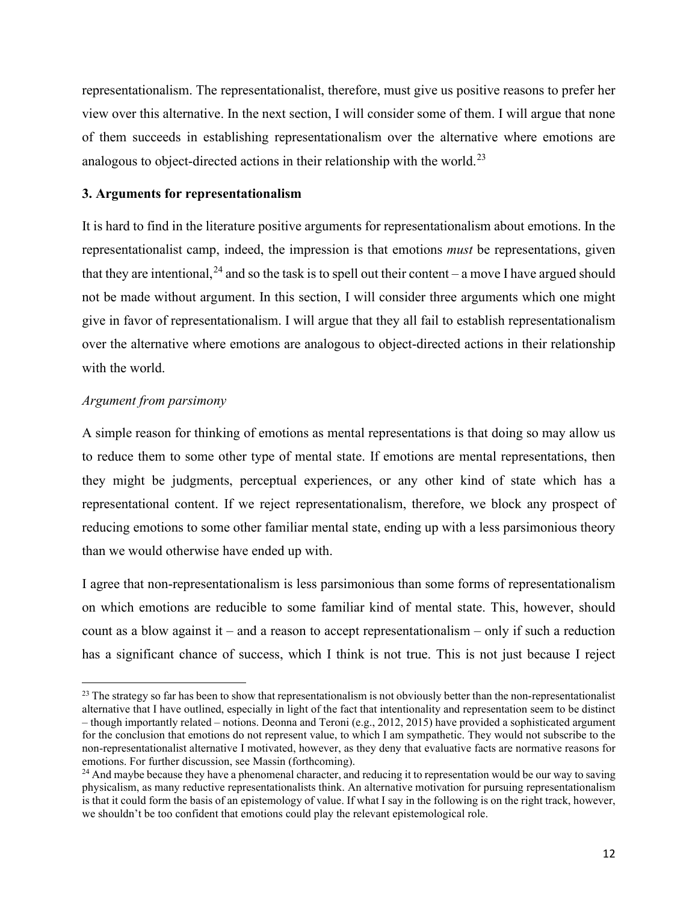representationalism. The representationalist, therefore, must give us positive reasons to prefer her view over this alternative. In the next section, I will consider some of them. I will argue that none of them succeeds in establishing representationalism over the alternative where emotions are analogous to object-directed actions in their relationship with the world.<sup>[23](#page-11-0)</sup>

# **3. Arguments for representationalism**

It is hard to find in the literature positive arguments for representationalism about emotions. In the representationalist camp, indeed, the impression is that emotions *must* be representations, given that they are intentional,  $^{24}$  $^{24}$  $^{24}$  and so the task is to spell out their content – a move I have argued should not be made without argument. In this section, I will consider three arguments which one might give in favor of representationalism. I will argue that they all fail to establish representationalism over the alternative where emotions are analogous to object-directed actions in their relationship with the world.

# *Argument from parsimony*

A simple reason for thinking of emotions as mental representations is that doing so may allow us to reduce them to some other type of mental state. If emotions are mental representations, then they might be judgments, perceptual experiences, or any other kind of state which has a representational content. If we reject representationalism, therefore, we block any prospect of reducing emotions to some other familiar mental state, ending up with a less parsimonious theory than we would otherwise have ended up with.

I agree that non-representationalism is less parsimonious than some forms of representationalism on which emotions are reducible to some familiar kind of mental state. This, however, should count as a blow against it – and a reason to accept representationalism – only if such a reduction has a significant chance of success, which I think is not true. This is not just because I reject

<span id="page-11-0"></span> $23$  The strategy so far has been to show that representationalism is not obviously better than the non-representationalist alternative that I have outlined, especially in light of the fact that intentionality and representation seem to be distinct – though importantly related – notions. Deonna and Teroni (e.g., 2012, 2015) have provided a sophisticated argument for the conclusion that emotions do not represent value, to which I am sympathetic. They would not subscribe to the non-representationalist alternative I motivated, however, as they deny that evaluative facts are normative reasons for emotions. For further discussion, see Massin (forthcoming).

<span id="page-11-1"></span><sup>&</sup>lt;sup>24</sup> And maybe because they have a phenomenal character, and reducing it to representation would be our way to saving physicalism, as many reductive representationalists think. An alternative motivation for pursuing representationalism is that it could form the basis of an epistemology of value. If what I say in the following is on the right track, however, we shouldn't be too confident that emotions could play the relevant epistemological role.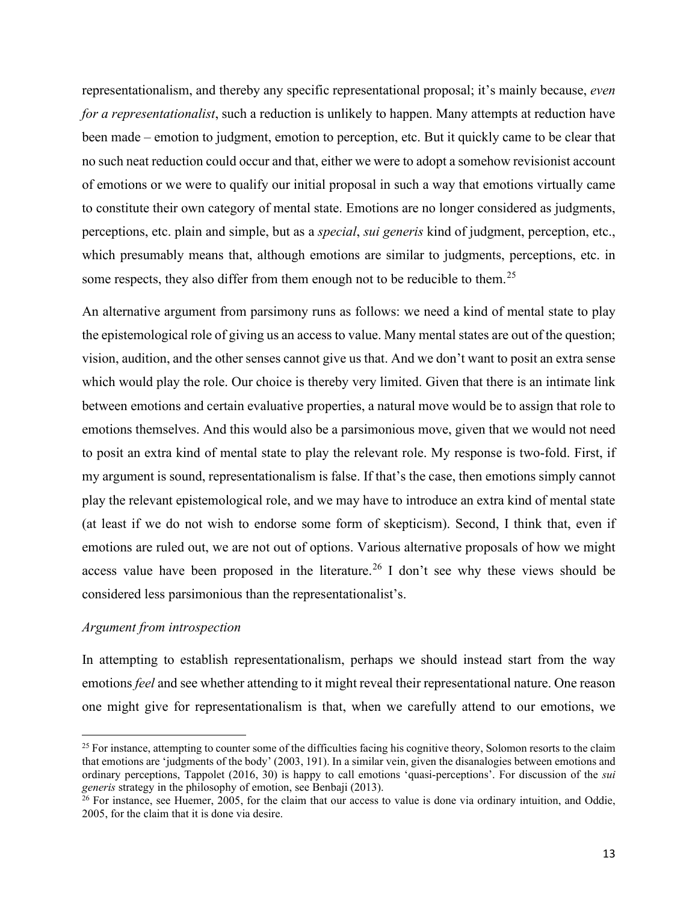representationalism, and thereby any specific representational proposal; it's mainly because, *even for a representationalist*, such a reduction is unlikely to happen. Many attempts at reduction have been made – emotion to judgment, emotion to perception, etc. But it quickly came to be clear that no such neat reduction could occur and that, either we were to adopt a somehow revisionist account of emotions or we were to qualify our initial proposal in such a way that emotions virtually came to constitute their own category of mental state. Emotions are no longer considered as judgments, perceptions, etc. plain and simple, but as a *special*, *sui generis* kind of judgment, perception, etc., which presumably means that, although emotions are similar to judgments, perceptions, etc. in some respects, they also differ from them enough not to be reducible to them.<sup>[25](#page-12-0)</sup>

An alternative argument from parsimony runs as follows: we need a kind of mental state to play the epistemological role of giving us an access to value. Many mental states are out of the question; vision, audition, and the other senses cannot give us that. And we don't want to posit an extra sense which would play the role. Our choice is thereby very limited. Given that there is an intimate link between emotions and certain evaluative properties, a natural move would be to assign that role to emotions themselves. And this would also be a parsimonious move, given that we would not need to posit an extra kind of mental state to play the relevant role. My response is two-fold. First, if my argument is sound, representationalism is false. If that's the case, then emotions simply cannot play the relevant epistemological role, and we may have to introduce an extra kind of mental state (at least if we do not wish to endorse some form of skepticism). Second, I think that, even if emotions are ruled out, we are not out of options. Various alternative proposals of how we might access value have been proposed in the literature.<sup>[26](#page-12-1)</sup> I don't see why these views should be considered less parsimonious than the representationalist's.

# *Argument from introspection*

In attempting to establish representationalism, perhaps we should instead start from the way emotions *feel* and see whether attending to it might reveal their representational nature. One reason one might give for representationalism is that, when we carefully attend to our emotions, we

<span id="page-12-0"></span> $25$  For instance, attempting to counter some of the difficulties facing his cognitive theory, Solomon resorts to the claim that emotions are 'judgments of the body' (2003, 191). In a similar vein, given the disanalogies between emotions and ordinary perceptions, Tappolet (2016, 30) is happy to call emotions 'quasi-perceptions'. For discussion of the *sui* 

<span id="page-12-1"></span><sup>&</sup>lt;sup>26</sup> For instance, see Huemer, 2005, for the claim that our access to value is done via ordinary intuition, and Oddie, 2005, for the claim that it is done via desire.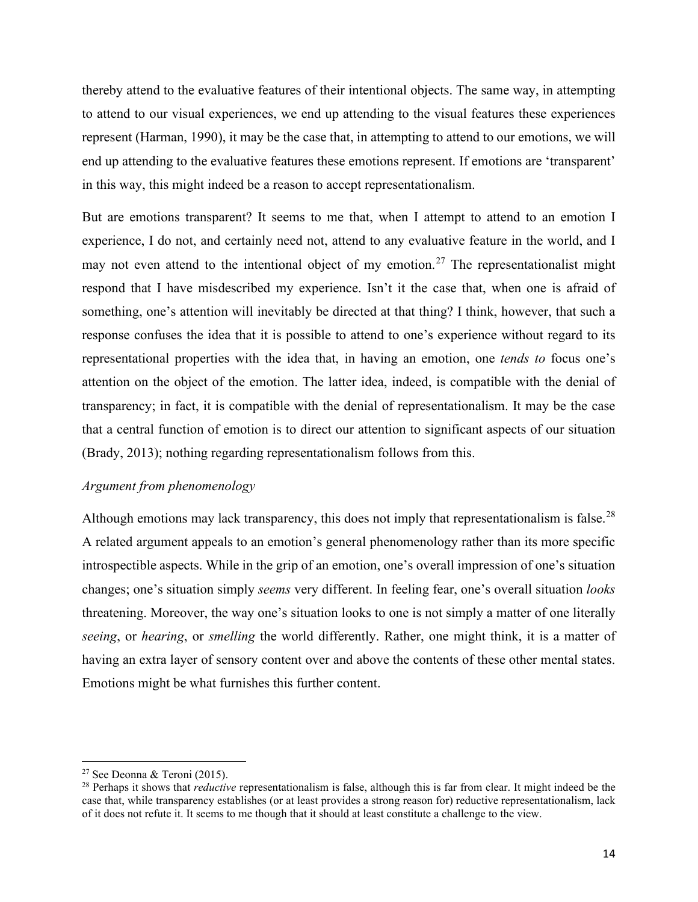thereby attend to the evaluative features of their intentional objects. The same way, in attempting to attend to our visual experiences, we end up attending to the visual features these experiences represent (Harman, 1990), it may be the case that, in attempting to attend to our emotions, we will end up attending to the evaluative features these emotions represent. If emotions are 'transparent' in this way, this might indeed be a reason to accept representationalism.

But are emotions transparent? It seems to me that, when I attempt to attend to an emotion I experience, I do not, and certainly need not, attend to any evaluative feature in the world, and I may not even attend to the intentional object of my emotion.<sup>[27](#page-13-0)</sup> The representationalist might respond that I have misdescribed my experience. Isn't it the case that, when one is afraid of something, one's attention will inevitably be directed at that thing? I think, however, that such a response confuses the idea that it is possible to attend to one's experience without regard to its representational properties with the idea that, in having an emotion, one *tends to* focus one's attention on the object of the emotion. The latter idea, indeed, is compatible with the denial of transparency; in fact, it is compatible with the denial of representationalism. It may be the case that a central function of emotion is to direct our attention to significant aspects of our situation (Brady, 2013); nothing regarding representationalism follows from this.

# *Argument from phenomenology*

Although emotions may lack transparency, this does not imply that representationalism is false.<sup>[28](#page-13-1)</sup> A related argument appeals to an emotion's general phenomenology rather than its more specific introspectible aspects. While in the grip of an emotion, one's overall impression of one's situation changes; one's situation simply *seems* very different. In feeling fear, one's overall situation *looks* threatening. Moreover, the way one's situation looks to one is not simply a matter of one literally *seeing*, or *hearing*, or *smelling* the world differently. Rather, one might think, it is a matter of having an extra layer of sensory content over and above the contents of these other mental states. Emotions might be what furnishes this further content.

<span id="page-13-0"></span><sup>&</sup>lt;sup>27</sup> See Deonna & Teroni (2015).

<span id="page-13-1"></span><sup>28</sup> Perhaps it shows that *reductive* representationalism is false, although this is far from clear. It might indeed be the case that, while transparency establishes (or at least provides a strong reason for) reductive representationalism, lack of it does not refute it. It seems to me though that it should at least constitute a challenge to the view.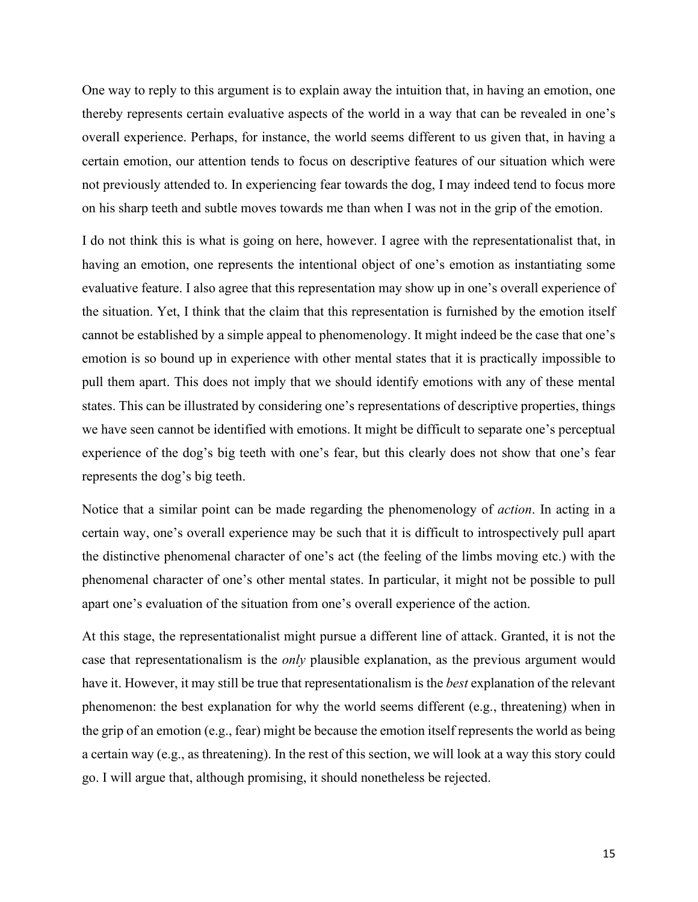One way to reply to this argument is to explain away the intuition that, in having an emotion, one thereby represents certain evaluative aspects of the world in a way that can be revealed in one's overall experience. Perhaps, for instance, the world seems different to us given that, in having a certain emotion, our attention tends to focus on descriptive features of our situation which were not previously attended to. In experiencing fear towards the dog, I may indeed tend to focus more on his sharp teeth and subtle moves towards me than when I was not in the grip of the emotion.

I do not think this is what is going on here, however. I agree with the representationalist that, in having an emotion, one represents the intentional object of one's emotion as instantiating some evaluative feature. I also agree that this representation may show up in one's overall experience of the situation. Yet, I think that the claim that this representation is furnished by the emotion itself cannot be established by a simple appeal to phenomenology. It might indeed be the case that one's emotion is so bound up in experience with other mental states that it is practically impossible to pull them apart. This does not imply that we should identify emotions with any of these mental states. This can be illustrated by considering one's representations of descriptive properties, things we have seen cannot be identified with emotions. It might be difficult to separate one's perceptual experience of the dog's big teeth with one's fear, but this clearly does not show that one's fear represents the dog's big teeth.

Notice that a similar point can be made regarding the phenomenology of *action*. In acting in a certain way, one's overall experience may be such that it is difficult to introspectively pull apart the distinctive phenomenal character of one's act (the feeling of the limbs moving etc.) with the phenomenal character of one's other mental states. In particular, it might not be possible to pull apart one's evaluation of the situation from one's overall experience of the action.

At this stage, the representationalist might pursue a different line of attack. Granted, it is not the case that representationalism is the *only* plausible explanation, as the previous argument would have it. However, it may still be true that representationalism is the *best* explanation of the relevant phenomenon: the best explanation for why the world seems different (e.g., threatening) when in the grip of an emotion (e.g., fear) might be because the emotion itself represents the world as being a certain way (e.g., as threatening). In the rest of this section, we will look at a way this story could go. I will argue that, although promising, it should nonetheless be rejected.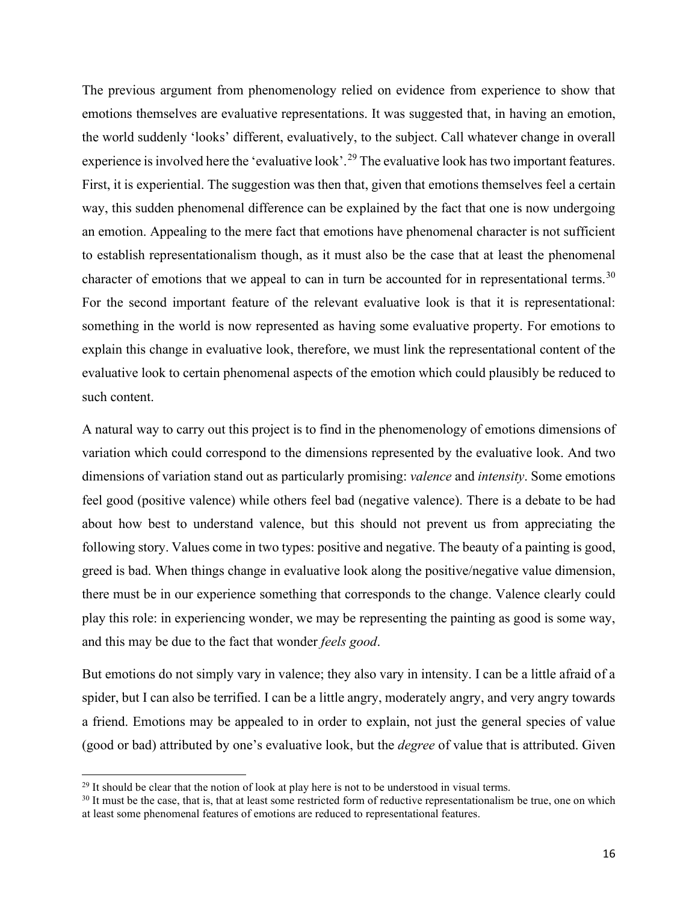The previous argument from phenomenology relied on evidence from experience to show that emotions themselves are evaluative representations. It was suggested that, in having an emotion, the world suddenly 'looks' different, evaluatively, to the subject. Call whatever change in overall experience is involved here the 'evaluative look'.<sup>[29](#page-15-0)</sup> The evaluative look has two important features. First, it is experiential. The suggestion was then that, given that emotions themselves feel a certain way, this sudden phenomenal difference can be explained by the fact that one is now undergoing an emotion. Appealing to the mere fact that emotions have phenomenal character is not sufficient to establish representationalism though, as it must also be the case that at least the phenomenal character of emotions that we appeal to can in turn be accounted for in representational terms.<sup>[30](#page-15-1)</sup> For the second important feature of the relevant evaluative look is that it is representational: something in the world is now represented as having some evaluative property. For emotions to explain this change in evaluative look, therefore, we must link the representational content of the evaluative look to certain phenomenal aspects of the emotion which could plausibly be reduced to such content.

A natural way to carry out this project is to find in the phenomenology of emotions dimensions of variation which could correspond to the dimensions represented by the evaluative look. And two dimensions of variation stand out as particularly promising: *valence* and *intensity*. Some emotions feel good (positive valence) while others feel bad (negative valence). There is a debate to be had about how best to understand valence, but this should not prevent us from appreciating the following story. Values come in two types: positive and negative. The beauty of a painting is good, greed is bad. When things change in evaluative look along the positive/negative value dimension, there must be in our experience something that corresponds to the change. Valence clearly could play this role: in experiencing wonder, we may be representing the painting as good is some way, and this may be due to the fact that wonder *feels good*.

But emotions do not simply vary in valence; they also vary in intensity. I can be a little afraid of a spider, but I can also be terrified. I can be a little angry, moderately angry, and very angry towards a friend. Emotions may be appealed to in order to explain, not just the general species of value (good or bad) attributed by one's evaluative look, but the *degree* of value that is attributed. Given

<span id="page-15-1"></span><span id="page-15-0"></span><sup>&</sup>lt;sup>29</sup> It should be clear that the notion of look at play here is not to be understood in visual terms.<br><sup>30</sup> It must be the case, that is, that at least some restricted form of reductive representationalism be true, one on at least some phenomenal features of emotions are reduced to representational features.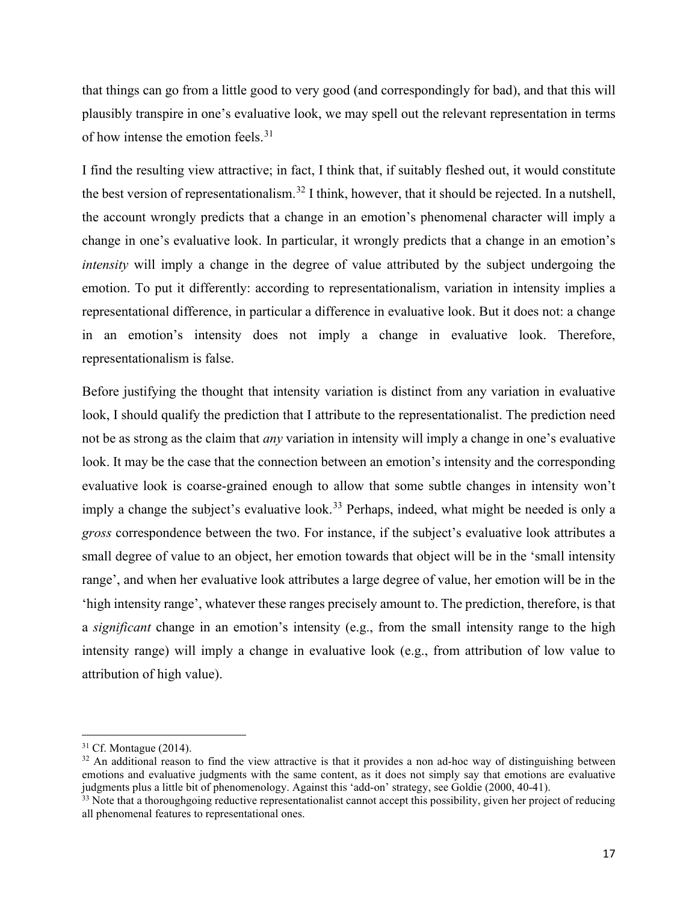that things can go from a little good to very good (and correspondingly for bad), and that this will plausibly transpire in one's evaluative look, we may spell out the relevant representation in terms of how intense the emotion feels.<sup>[31](#page-16-0)</sup>

I find the resulting view attractive; in fact, I think that, if suitably fleshed out, it would constitute the best version of representationalism.<sup>[32](#page-16-1)</sup> I think, however, that it should be rejected. In a nutshell, the account wrongly predicts that a change in an emotion's phenomenal character will imply a change in one's evaluative look. In particular, it wrongly predicts that a change in an emotion's *intensity* will imply a change in the degree of value attributed by the subject undergoing the emotion. To put it differently: according to representationalism, variation in intensity implies a representational difference, in particular a difference in evaluative look. But it does not: a change in an emotion's intensity does not imply a change in evaluative look. Therefore, representationalism is false.

Before justifying the thought that intensity variation is distinct from any variation in evaluative look, I should qualify the prediction that I attribute to the representationalist. The prediction need not be as strong as the claim that *any* variation in intensity will imply a change in one's evaluative look. It may be the case that the connection between an emotion's intensity and the corresponding evaluative look is coarse-grained enough to allow that some subtle changes in intensity won't imply a change the subject's evaluative look.<sup>[33](#page-16-2)</sup> Perhaps, indeed, what might be needed is only a *gross* correspondence between the two. For instance, if the subject's evaluative look attributes a small degree of value to an object, her emotion towards that object will be in the 'small intensity range', and when her evaluative look attributes a large degree of value, her emotion will be in the 'high intensity range', whatever these ranges precisely amount to. The prediction, therefore, is that a *significant* change in an emotion's intensity (e.g., from the small intensity range to the high intensity range) will imply a change in evaluative look (e.g., from attribution of low value to attribution of high value).

<span id="page-16-0"></span> $31$  Cf. Montague (2014).

<span id="page-16-1"></span> $32$  An additional reason to find the view attractive is that it provides a non ad-hoc way of distinguishing between emotions and evaluative judgments with the same content, as it does not simply say that emotions are evaluative judgments plus a little bit of phenomenology. Against this 'add-on' strategy, see Goldie (2000, 40-41).

<span id="page-16-2"></span> $33$  Note that a thoroughgoing reductive representationalist cannot accept this possibility, given her project of reducing all phenomenal features to representational ones.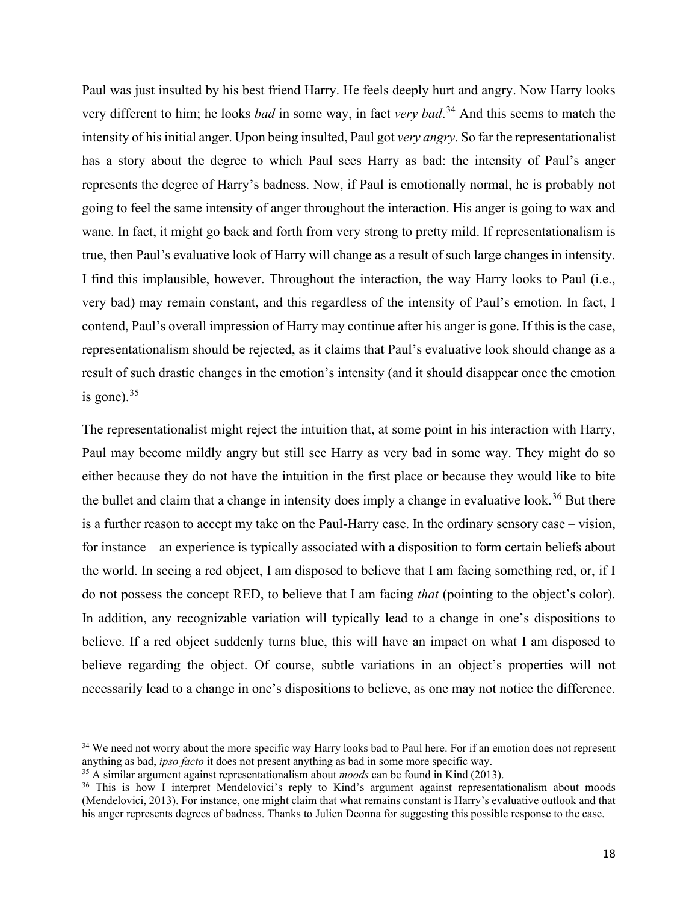Paul was just insulted by his best friend Harry. He feels deeply hurt and angry. Now Harry looks very different to him; he looks *bad* in some way, in fact *very bad*. [34](#page-17-0) And this seems to match the intensity of his initial anger. Upon being insulted, Paul got *very angry*. So far the representationalist has a story about the degree to which Paul sees Harry as bad: the intensity of Paul's anger represents the degree of Harry's badness. Now, if Paul is emotionally normal, he is probably not going to feel the same intensity of anger throughout the interaction. His anger is going to wax and wane. In fact, it might go back and forth from very strong to pretty mild. If representationalism is true, then Paul's evaluative look of Harry will change as a result of such large changes in intensity. I find this implausible, however. Throughout the interaction, the way Harry looks to Paul (i.e., very bad) may remain constant, and this regardless of the intensity of Paul's emotion. In fact, I contend, Paul's overall impression of Harry may continue after his anger is gone. If this is the case, representationalism should be rejected, as it claims that Paul's evaluative look should change as a result of such drastic changes in the emotion's intensity (and it should disappear once the emotion is gone). $35$ 

The representationalist might reject the intuition that, at some point in his interaction with Harry, Paul may become mildly angry but still see Harry as very bad in some way. They might do so either because they do not have the intuition in the first place or because they would like to bite the bullet and claim that a change in intensity does imply a change in evaluative look.<sup>[36](#page-17-2)</sup> But there is a further reason to accept my take on the Paul-Harry case. In the ordinary sensory case – vision, for instance – an experience is typically associated with a disposition to form certain beliefs about the world. In seeing a red object, I am disposed to believe that I am facing something red, or, if I do not possess the concept RED, to believe that I am facing *that* (pointing to the object's color). In addition, any recognizable variation will typically lead to a change in one's dispositions to believe. If a red object suddenly turns blue, this will have an impact on what I am disposed to believe regarding the object. Of course, subtle variations in an object's properties will not necessarily lead to a change in one's dispositions to believe, as one may not notice the difference.

<span id="page-17-0"></span> $34$  We need not worry about the more specific way Harry looks bad to Paul here. For if an emotion does not represent anything as bad, *ipso facto* it does not present anything as bad in some more specific way.

<span id="page-17-2"></span>

<span id="page-17-1"></span><sup>&</sup>lt;sup>35</sup> A similar argument against representationalism about *moods* can be found in Kind (2013).<br><sup>36</sup> This is how I interpret Mendelovici's reply to Kind's argument against representationalism about moods (Mendelovici, 2013). For instance, one might claim that what remains constant is Harry's evaluative outlook and that his anger represents degrees of badness. Thanks to Julien Deonna for suggesting this possible response to the case.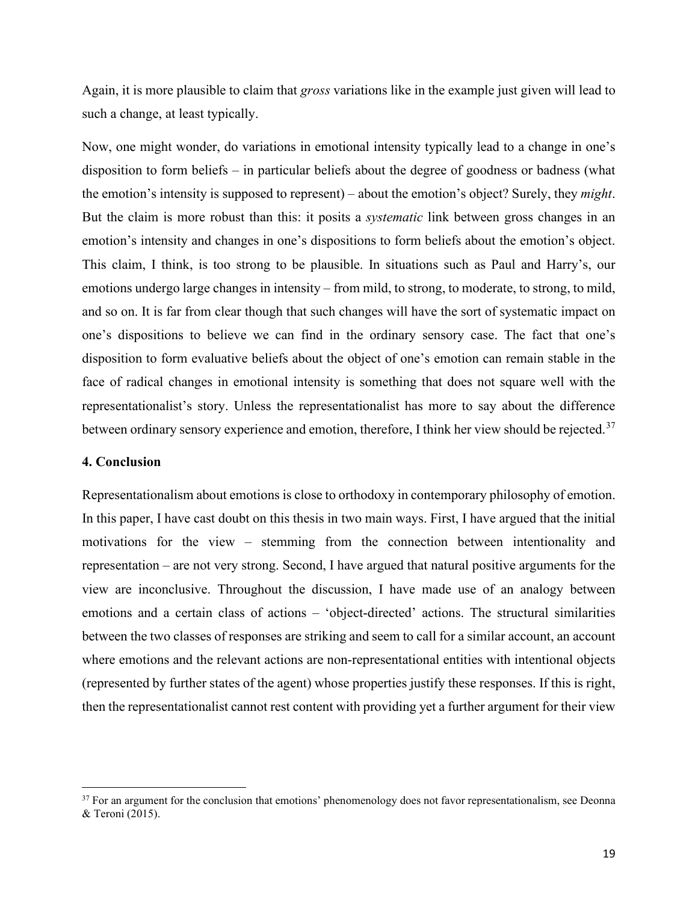Again, it is more plausible to claim that *gross* variations like in the example just given will lead to such a change, at least typically.

Now, one might wonder, do variations in emotional intensity typically lead to a change in one's disposition to form beliefs – in particular beliefs about the degree of goodness or badness (what the emotion's intensity is supposed to represent) – about the emotion's object? Surely, they *might*. But the claim is more robust than this: it posits a *systematic* link between gross changes in an emotion's intensity and changes in one's dispositions to form beliefs about the emotion's object. This claim, I think, is too strong to be plausible. In situations such as Paul and Harry's, our emotions undergo large changes in intensity – from mild, to strong, to moderate, to strong, to mild, and so on. It is far from clear though that such changes will have the sort of systematic impact on one's dispositions to believe we can find in the ordinary sensory case. The fact that one's disposition to form evaluative beliefs about the object of one's emotion can remain stable in the face of radical changes in emotional intensity is something that does not square well with the representationalist's story. Unless the representationalist has more to say about the difference between ordinary sensory experience and emotion, therefore, I think her view should be rejected.<sup>[37](#page-18-0)</sup>

#### **4. Conclusion**

Representationalism about emotions is close to orthodoxy in contemporary philosophy of emotion. In this paper, I have cast doubt on this thesis in two main ways. First, I have argued that the initial motivations for the view – stemming from the connection between intentionality and representation – are not very strong. Second, I have argued that natural positive arguments for the view are inconclusive. Throughout the discussion, I have made use of an analogy between emotions and a certain class of actions – 'object-directed' actions. The structural similarities between the two classes of responses are striking and seem to call for a similar account, an account where emotions and the relevant actions are non-representational entities with intentional objects (represented by further states of the agent) whose properties justify these responses. If this is right, then the representationalist cannot rest content with providing yet a further argument for their view

<span id="page-18-0"></span> $37$  For an argument for the conclusion that emotions' phenomenology does not favor representationalism, see Deonna & Teroni (2015).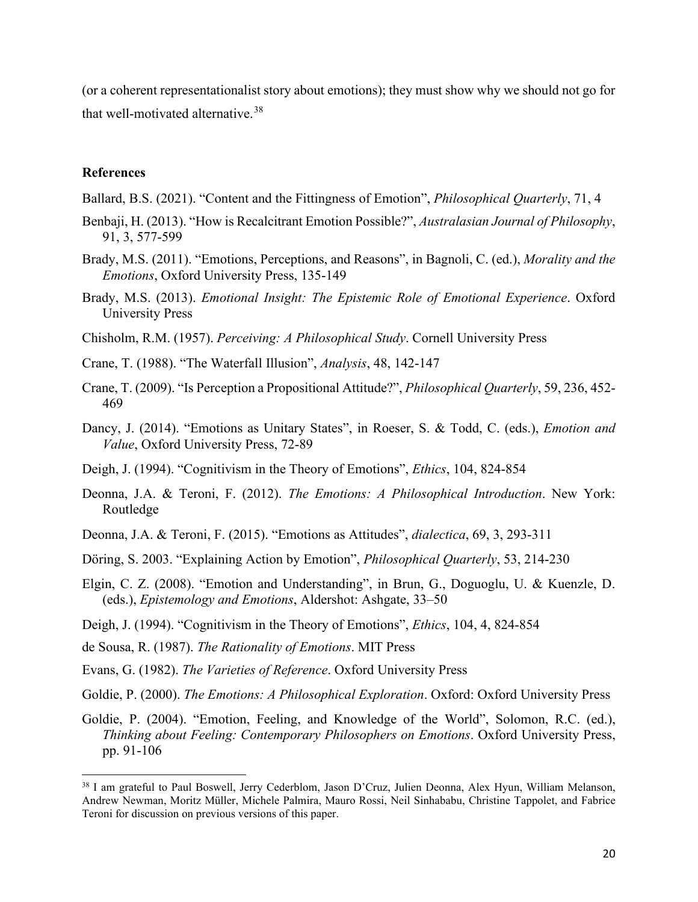(or a coherent representationalist story about emotions); they must show why we should not go for that well-motivated alternative.<sup>[38](#page-19-0)</sup>

## **References**

- Ballard, B.S. (2021). "Content and the Fittingness of Emotion", *Philosophical Quarterly*, 71, 4
- Benbaji, H. (2013). "How is Recalcitrant Emotion Possible?", *Australasian Journal of Philosophy*, 91, 3, 577-599
- Brady, M.S. (2011). "Emotions, Perceptions, and Reasons", in Bagnoli, C. (ed.), *Morality and the Emotions*, Oxford University Press, 135-149
- Brady, M.S. (2013). *Emotional Insight: The Epistemic Role of Emotional Experience*. Oxford University Press
- Chisholm, R.M. (1957). *Perceiving: A Philosophical Study*. Cornell University Press
- Crane, T. (1988). "The Waterfall Illusion", *Analysis*, 48, 142-147
- Crane, T. (2009). "Is Perception a Propositional Attitude?", *Philosophical Quarterly*, 59, 236, 452- 469
- Dancy, J. (2014). "Emotions as Unitary States", in Roeser, S. & Todd, C. (eds.), *Emotion and Value*, Oxford University Press, 72-89
- Deigh, J. (1994). "Cognitivism in the Theory of Emotions", *Ethics*, 104, 824-854
- Deonna, J.A. & Teroni, F. (2012). *The Emotions: A Philosophical Introduction*. New York: Routledge
- Deonna, J.A. & Teroni, F. (2015). "Emotions as Attitudes", *dialectica*, 69, 3, 293-311
- Döring, S. 2003. "Explaining Action by Emotion", *Philosophical Quarterly*, 53, 214-230
- Elgin, C. Z. (2008). "Emotion and Understanding", in Brun, G., Doguoglu, U. & Kuenzle, D. (eds.), *Epistemology and Emotions*, Aldershot: Ashgate, 33–50
- Deigh, J. (1994). "Cognitivism in the Theory of Emotions", *Ethics*, 104, 4, 824-854
- de Sousa, R. (1987). *The Rationality of Emotions*. MIT Press
- Evans, G. (1982). *The Varieties of Reference*. Oxford University Press
- Goldie, P. (2000). *The Emotions: A Philosophical Exploration*. Oxford: Oxford University Press
- Goldie, P. (2004). "Emotion, Feeling, and Knowledge of the World", Solomon, R.C. (ed.), *Thinking about Feeling: Contemporary Philosophers on Emotions*. Oxford University Press, pp. 91-106

<span id="page-19-0"></span><sup>38</sup> I am grateful to Paul Boswell, Jerry Cederblom, Jason D'Cruz, Julien Deonna, Alex Hyun, William Melanson, Andrew Newman, Moritz Müller, Michele Palmira, Mauro Rossi, Neil Sinhababu, Christine Tappolet, and Fabrice Teroni for discussion on previous versions of this paper.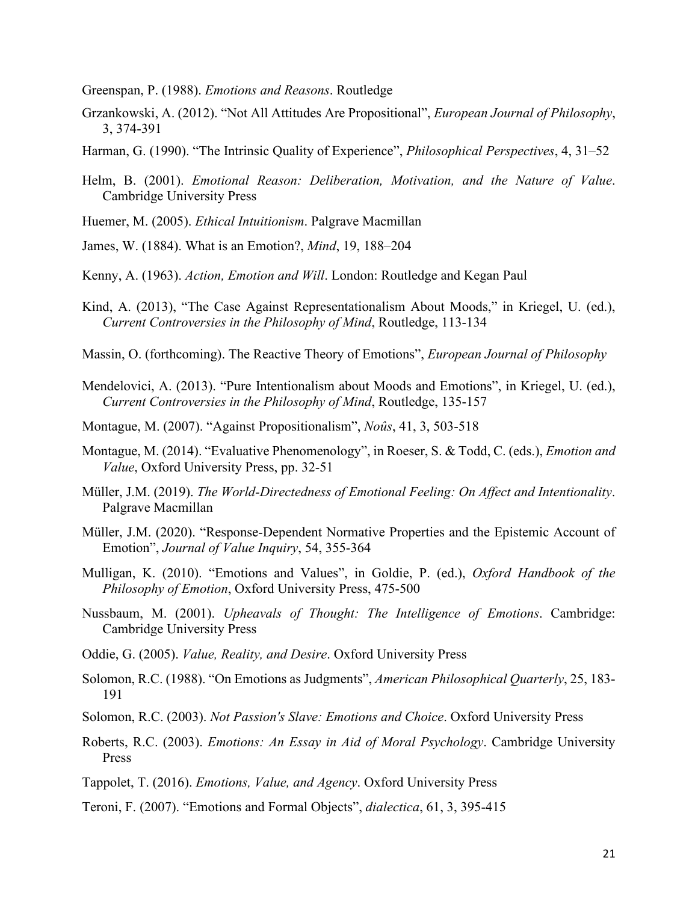Greenspan, P. (1988). *Emotions and Reasons*. Routledge

- Grzankowski, A. (2012). "Not All Attitudes Are Propositional", *European Journal of Philosophy*, 3, 374-391
- Harman, G. (1990). "The Intrinsic Quality of Experience", *Philosophical Perspectives*, 4, 31–52
- Helm, B. (2001). *Emotional Reason: Deliberation, Motivation, and the Nature of Value*. Cambridge University Press
- Huemer, M. (2005). *Ethical Intuitionism*. Palgrave Macmillan
- James, W. (1884). What is an Emotion?, *Mind*, 19, 188–204
- Kenny, A. (1963). *Action, Emotion and Will*. London: Routledge and Kegan Paul
- Kind, A. (2013), "The Case Against Representationalism About Moods," in Kriegel, U. (ed.), *Current Controversies in the Philosophy of Mind*, Routledge, 113-134
- Massin, O. (forthcoming). The Reactive Theory of Emotions", *European Journal of Philosophy*
- Mendelovici, A. (2013). "Pure Intentionalism about Moods and Emotions", in Kriegel, U. (ed.), *Current Controversies in the Philosophy of Mind*, Routledge, 135-157
- Montague, M. (2007). "Against Propositionalism", *Noûs*, 41, 3, 503-518
- Montague, M. (2014). "Evaluative Phenomenology", in Roeser, S. & Todd, C. (eds.), *Emotion and Value*, Oxford University Press, pp. 32-51
- Müller, J.M. (2019). *The World-Directedness of Emotional Feeling: On Affect and Intentionality*. Palgrave Macmillan
- Müller, J.M. (2020). "Response-Dependent Normative Properties and the Epistemic Account of Emotion", *Journal of Value Inquiry*, 54, 355-364
- Mulligan, K. (2010). "Emotions and Values", in Goldie, P. (ed.), *Oxford Handbook of the Philosophy of Emotion*, Oxford University Press, 475-500
- Nussbaum, M. (2001). *Upheavals of Thought: The Intelligence of Emotions*. Cambridge: Cambridge University Press
- Oddie, G. (2005). *Value, Reality, and Desire*. Oxford University Press
- Solomon, R.C. (1988). "On Emotions as Judgments", *American Philosophical Quarterly*, 25, 183- 191
- Solomon, R.C. (2003). *Not Passion's Slave: Emotions and Choice*. Oxford University Press
- Roberts, R.C. (2003). *Emotions: An Essay in Aid of Moral Psychology*. Cambridge University Press
- Tappolet, T. (2016). *Emotions, Value, and Agency*. Oxford University Press
- Teroni, F. (2007). "Emotions and Formal Objects", *dialectica*, 61, 3, 395-415